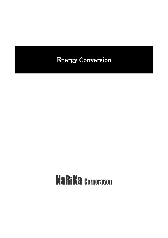# Energy Conversion

# **NaRiKa Corporation**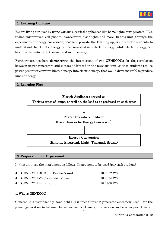

#### 1. Learning Outcome

We are living our lives by using various electrical appliances like home lights, refrigerators, TVs, radios, microwaves, cell phones, transceivers, flashlights and more. In this unit, through the experiment of energy conversion, teachers **provide** the learning opportunities for students to understand that kinetic energy can be converted into electric energy, while electric energy can be converted into light, thermal and sound energy.

Furthermore, teachers demonstrate the interactions of two GENECONs for the correlation between power generators and motors addressed in the previous unit, so that students realize power generator converts kinetic energy into electric energy that would drive motor(s) to produce kinetic energy.

#### 2. Learning Flow



#### 3. Preparation for Experiment

In this unit, use the instrument as follows. Instrument to be used (per each student)

| • GENECON DUE (for Teacher's use) | B10-2632-W0 |
|-----------------------------------|-------------|
| • GENECON V3 (for Students' use)  | B10-2634-W0 |
| $\bullet$ GENECON Light Box       | B10-2700-W0 |

#### 1. What's GENECON

Genecon is a user-friendly hand-held DC (Direct Current) generator extremely useful for the power generation to be used for experiments of energy conversion and electrolysis of water.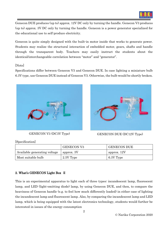

Genecon DUE produces (up to) approx. 12V DC only by turning the handle. Genecon V3 produces (up to) approx. 3V DC only by turning the handle. Genecon is a power generator specialized for the educational use to self-produce electricity.

Genecon is quite simply designed with the built-in motor inside that works to generate power. Students may realize the structural interaction of embedded motor, gears, shafts and handle through the transparent body. Teachers may easily instruct the students about the identical/interchangeable correlation between "motor" and "generator".

#### [Note]

Specifications differ between Genecon V3 and Genecon DUE. In case lighting a miniature bulb 6.3V type, use Genecon DUE instead of Genecon V3. Otherwise, the bulb would be shortly broken.





GENECON V3 (DC3V Type) GENECON DUE (DC12V Type)

[Specification]

|                              | <b>GENECON V3</b> | <b>GENECON DUE</b> |
|------------------------------|-------------------|--------------------|
| Available generating voltage | approx. 3V        | approx. 12V        |
| Most suitable bulb           | 2.5V Type         | 6.3V Type          |

# 2. What's GENECON Light Box Ⅱ

This is an experimental apparatus to light each of three types; incandescent lamp, fluorescent lamp, and LED (light-emitting diode) lamp, by using Genecon DUE, and then, to compare the heaviness of Genecon handle (e.g. to feel how much differently loaded) in either case of lighting the incandescent lamp and fluorescent lamp. Also, by comparing the incandescent lamp and LED lamp, which is being equipped with the latest electronics technology, students would further be interested in issues of the energy consumption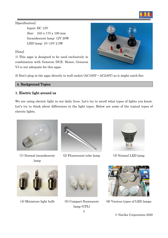

[Specification]

Input: DC 12V Size: 245 x 175 x 100 mm Incandescent lamp: 12V 20W LED lamp: 10~15V 2.5W

# [Note]

1) This apps is designed to be used exclusively in combination with Genecon DUE. Hence, Genecon V3 is not adequate for this apps.

2) Don't plug in the apps directly to wall socket  $(AC100V \sim AC240V)$  as it might catch fire.

# 4. Background Topics

# 1. Electric light around us

We are using electric light in our daily lives. Let's try to recall what types of lights you know. Let's try to think about differences in the light types. Below are some of the typical types of electric lights.



(1) Normal incandescent lamp



(2) Fluorescent tube lamp (3) Normal LED lamp







3 (4) Miniature light bulb (5) Compact fluorescent lamp (CFL)



(6) Various types of LED lamps

© Narika Corporation 2020

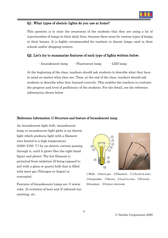

#### Q1. What types of electric lights do you use at home?

This question is to raise the awareness of the students that they are using a lot of types/number of lamps in their daily lives, because there must be various types of lamps in their houses. It is highly recommended for teachers to denote lamps used in their schools and/or shopping centers.

#### Q2. Let's try to summarize features of each type of lights written below.

```
- Incandescent lamp - Fluorescent lamp - LED lamp
```
At the beginning of the class, teachers should ask students to describe what they have in mind no matter what they are. Then, at the end of the class, teachers should ask students to describe what they learned correctly. This enables the teachers to evaluate the progress and level of proficiency of the students. For the detail, see the reference information shown below.

#### [Reference Information 1] Structure and feature of Incandescent lamp

An incandescent light bulb, incandescent lamp or incandescent light globe is an electric light which produces light with a filament wire heated to a high temperature (2200~2700 ℃) by an electric current passing through it, until it glows (See the right-hand figure and photo). The hot filament is protected from oxidation (if being exposed to air) with a glass or quartz bulb that is filled with inert gas (Nitrogen or Argon) or evacuated.

Features of Incandescent Lamp are 1) warm color, 2) evolution of heat and 3) infrared-rayemitting, etc.



①Bulb、②Inert gas、③Filament、④⑤Lead-in wire、 ⑥Suspender、⑦Mount、⑧Lead-in wire、⑨Ferrule、 ⑩Insulant、⑪Center electrode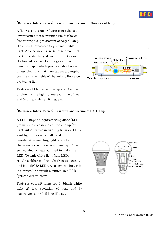

#### [Reference Information 2] Structure and feature of Fluorescent lamp

A fluorescent lamp or fluorescent tube is a low pressure mercury-vapor gas-discharge (containing a slight amount of Argon) lamp that uses fluorescence to produce visible light. An electric current (a large amount of electron is discharged from the emitter on the heated filament) in the gas excites mercury vapor which produces short-wave ultraviolet light that then causes a phosphor coating on the inside of the bulb to fluoresce, producing light.

Features of Fluorescent Lamp are 1) white or bluish white light 2) less evolution of heat and 3) ultra-violet-emitting, etc.



#### [Reference Information 3] Structure and feature of LED lamp

A LED lamp is a light-emitting diode (LED) product that is assembled into a lamp (or light bulb)) for use in lighting fixtures. LEDs emit light in a very small band of wavelengths, emitting light of a color characteristic of the energy bandgap of the semiconductor material used to make the LED. To emit white light from LEDs requires either mixing light from red, green, and blue (RGB) LEDs. As a semiconductor, it is a controlling circuit mounted on a PCB (printed-circuit board).

Features of LED lamp are 1) bluish white light 2) less evolution of heat and 3) expensiveness and 4) long life, etc.

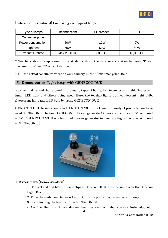

### [Reference Information 4] Comparing each type of lamps

| Type of lamps           | Incandescent | Fluorescent | I FD       |
|-------------------------|--------------|-------------|------------|
| Consumer price          |              |             |            |
| Power consumption       | 60W          | 12W         | 9W         |
| <b>Brightness</b>       | 60W          | 60W         | 60W        |
| <b>Product Lifetime</b> | Max 2000 Hr. | 6000 Hr.    | 40,000 Hr. |

\* Teachers should emphasize to the students about the inverse correlation between "Power consumption" and "Product Lifetime".

\* Fill the actual consumer prices at your country in the "Consumer price" field.

### 5. [Demonstration] Light lamps with GENECON DUE

Now we understand that around us are many types of lights, like incandescent light, fluorescent lamp, LED light and others being used. Here, the teacher lights up incandescent light bulb, fluorescent lamp and LED bulb by using GENECON DUE.

GENECON DUE belongs, same as GENECON V3, to the Genecon family of products. We have used GENECON V3 before. GENECON DUE can generate 4 times electricity i.e. 12V compared to 3V of GENECON V3. It is a hand-held power generator to generate higher voltage compared to GENECON V3.



#### 1. Experiment (Demonstration)

1. Connect red and black colored clips of Genecon DUE to the terminals on the Genecon Light Box.

- 2. Turn the switch on Genecon Light Box to the position of Incandescent lamp.
- 3. Start turning the handle of the GENECON DUE.
- 4. Confirm the light of incandescent lamp. Write down what you saw (intensity, color

6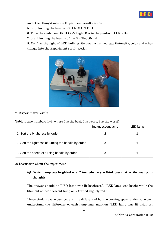

and other things) into the Experiment result section.

5. Stop turning the handle of GENECON DUE.

6. Turn the switch on GENECON Light Box to the position of LED Bulb.

7. Start turning the handle of the GENECON DUE.

 8. Confirm the light of LED bulb. Write down what you saw (intensity, color and other things) into the Experiment result section.



# 2. Experiment result

Table 1 (use numbers  $1~3$ , where 1 is the best, 2 is worse, 3 is the worst)

|                                                      | Incandescent lamp | LED lamp |
|------------------------------------------------------|-------------------|----------|
| 1. Sort the brightness by order                      |                   |          |
| 2. Sort the lightness of turning the handle by order |                   |          |
| 3. Sort the speed of turning handle by order         |                   |          |

3) Discussion about the experiment

# Q1. Which lamp was brightest of all? And why do you think was that, write down your thoughts.

The answer should be "LED lamp was lit brightest.", "LED lamp was bright while the filament of incandescent lamp only turned slightly red."

Those students who can focus on the different of handle turning speed and/or who well understand the difference of each lamp may mention "LED lamp was lit brightest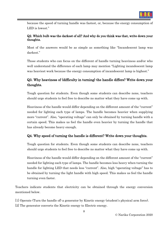

because the speed of turning handle was fastest, or, because the energy consumption of LED is lowest."

# Q2. Which bulb was the darkest of all? And why do you think was that, write down your thoughts.

Most of the answers would be as simple as something like "Incandescent lamp was darkest."

Those students who can focus on the different of handle turning heaviness and/or who well understand the difference of each lamp may mention "Lighting incandescent lamp was heaviest work because the energy consumption of incandescent lamp is highest."

# Q3. Why heaviness of (difficulty in turning) the handle differs? Write down your thoughts.

Tough question for students. Even though some students can describe none, teachers should urge students to feel free to describe no matter what they have come up with.

Heaviness of the handle would differ depending on the different amount of the "current" needed for lighting each type of lamps. The handle becomes heavier when supplying more "current". Also, "operating voltage" can only be obtained by turning handle with a certain speed. This makes us feel the handle even heavier by turning the handle that has already become heavy enough.

# Q4. Why speed of turning the handle is different? Write down your thoughts.

Tough question for students. Even though some students can describe none, teachers should urge students to feel free to describe no matter what they have come up with.

Heaviness of the handle would differ depending on the different amount of the "current" needed for lighting each type of lamps. The handle becomes less heavy when turning the handle for lighting LED that needs less "current". Also, high "operating voltage" has to be obtained by turning the light handle with high speed. This makes us feel the handle turning even faster.

Teachers indicate students that electricity can be obtained through the energy conversion mentioned below.

[1] Operate (Turn the handle of) a generator by Kinetic energy (student's physical arm force). [2] The generator converts the Kinetic energy to Electric energy.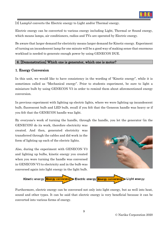

[3] Lamp(s) converts the Electric energy to Light and/or Thermal energy.

Electric energy can be converted to various energy including Light, Thermal or Sound energy, which means lamps, air conditioners, radios and TVs are operated by Electric energy.

Be aware that larger demand for electricity means larger demand for Kinetic energy. Experiment of turning an incandescent lamp for one minute will be a good way of making sense that enormous workload is needed to generate enough power by using GENECON DUE.

#### 6. [Demonstration] Which one is generator, which one is motor?

#### 1. Energy Conversion

In this unit, we would like to have consistency in the wording of "Kinetic energy", while it is sometimes called as "Mechanical energy". Prior to students experiment, be sure to light a miniature bulb by using GENECON V3 in order to remind them about aforementioned energy conversion.

In previous experiment with lighting up electric lights, where we were lighting up incandescent bulb, fluorescent bulb and LED bulb, recall if you felt that the Genecon handle was heavy or if you felt that the GENECON handle was light.

By everyone's work of turning the handle, through the handle, you let the generator (in the

GENECON) do its work, therefore electricity was created. And then, generated electricity was transferred through the cables and did work in the form of lighting up each of the electric lights.

Also, during the experiment with GENECON V3 and lighting up bulbs, kinetic energy you created when you were turning the handle was conversed in GENECON V3 to electricity and in the bulb was conversed again into light energy in the light bulb.





Furthermore, electric energy can be conversed not only into light energy, but as well into heat, sound and other types. It can be said that electric energy is very beneficial because it can be converted into various forms of energy.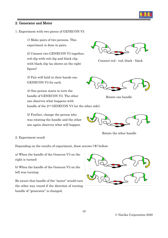

#### 2. Generator and Motor

1. Experiment with two pieces of GENECON V3

1) Make pairs of two persons. This experiment is done in pairs.

2) Connect two GENECON V3 together, red clip with red clip and black clip with black clip (as shown on the right figure)

3) Pair will hold in their hands one GENECON V3 for each.

4) One person starts to turn the handle of GENECON V3. The other one observes what happens with handle of the 2nd GENECON V3 (at the other side).

5) Further, change the person who was rotating the handle and the other one again observes what will happen.



Connect red - red, black - black



Rotate one handle



Rotate the other handle

2. Experiment result

Depending on the results of experiment, draw arrows  $(\rightarrow)$  bellow.

a) When the handle of the Genecon V3 on the right is turned:

b) When the handle of the Genecon V3 on the left was turning:

Be aware that handle of the "motor" would turn the other way round if the direction of turning handle of "generator" is changed.

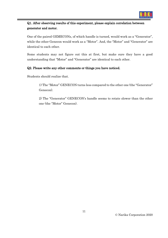

# Q1. After observing results of this experiment, please explain correlation between generator and motor.

One of the paired GEMECONs, of which handle is turned, would work as a "Generator", while the other Genecon would work as a "Motor". And, the "Motor" and "Generator" are identical to each other.

Some students may not figure out this at first, but make sure they have a good understanding that "Motor" and "Generator" are identical to each other.

# Q2. Please write any other comments or things you have noticed.

Students should realize that.

1) The "Motor" GENECON turns less compared to the other one (the "Generator" Genecon).

2) The "Generator" GENECON's handle seems to rotate slower than the other one (the "Motor" Genecon).